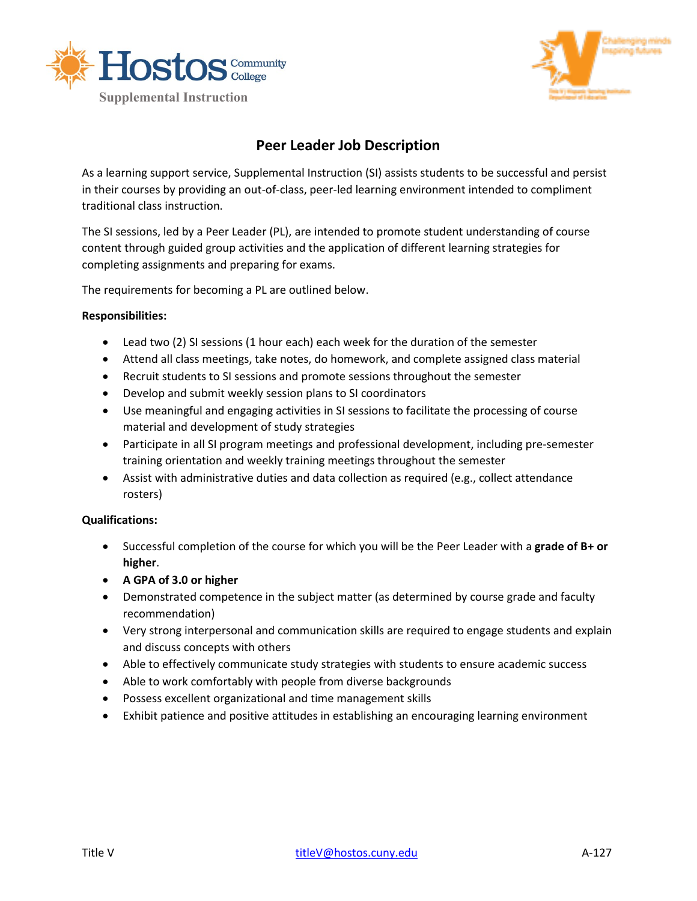



## **Peer Leader Job Description**

As a learning support service, Supplemental Instruction (SI) assists students to be successful and persist in their courses by providing an out-of-class, peer-led learning environment intended to compliment traditional class instruction.

The SI sessions, led by a Peer Leader (PL), are intended to promote student understanding of course content through guided group activities and the application of different learning strategies for completing assignments and preparing for exams.

The requirements for becoming a PL are outlined below.

## **Responsibilities:**

- Lead two (2) SI sessions (1 hour each) each week for the duration of the semester
- Attend all class meetings, take notes, do homework, and complete assigned class material
- Recruit students to SI sessions and promote sessions throughout the semester
- Develop and submit weekly session plans to SI coordinators
- Use meaningful and engaging activities in SI sessions to facilitate the processing of course material and development of study strategies
- Participate in all SI program meetings and professional development, including pre-semester training orientation and weekly training meetings throughout the semester
- Assist with administrative duties and data collection as required (e.g., collect attendance rosters)

## **Qualifications:**

- Successful completion of the course for which you will be the Peer Leader with a **grade of B+ or higher**.
- **A GPA of 3.0 or higher**
- Demonstrated competence in the subject matter (as determined by course grade and faculty recommendation)
- Very strong interpersonal and communication skills are required to engage students and explain and discuss concepts with others
- Able to effectively communicate study strategies with students to ensure academic success
- Able to work comfortably with people from diverse backgrounds
- Possess excellent organizational and time management skills
- Exhibit patience and positive attitudes in establishing an encouraging learning environment